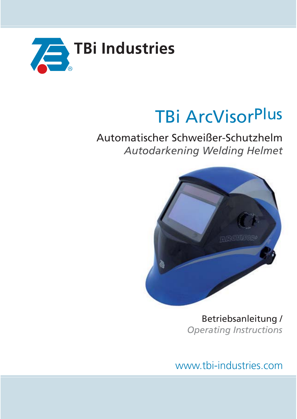

# TBi ArcVisorPlus

Automatischer Schweißer-Schutzhelm *Autodarkening Welding Helmet*



Betriebsanleitung / *Operating Instructions*

www.tbi-industries.com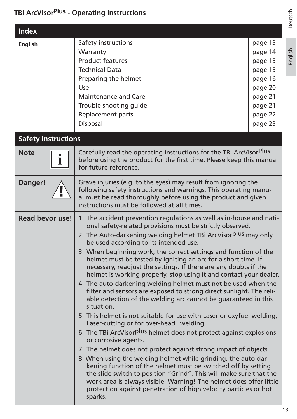| <b>Index</b>               |                                                                                                                                                                                                                                                                                                                                                                                                                                                                                                                                                                                                                                                                                                                                                                                                                                                                                                                                                                                                                                                                                                                                                                                                                                                                                                                                                                                                |         |  |  |
|----------------------------|------------------------------------------------------------------------------------------------------------------------------------------------------------------------------------------------------------------------------------------------------------------------------------------------------------------------------------------------------------------------------------------------------------------------------------------------------------------------------------------------------------------------------------------------------------------------------------------------------------------------------------------------------------------------------------------------------------------------------------------------------------------------------------------------------------------------------------------------------------------------------------------------------------------------------------------------------------------------------------------------------------------------------------------------------------------------------------------------------------------------------------------------------------------------------------------------------------------------------------------------------------------------------------------------------------------------------------------------------------------------------------------------|---------|--|--|
| <b>English</b>             | Safety instructions                                                                                                                                                                                                                                                                                                                                                                                                                                                                                                                                                                                                                                                                                                                                                                                                                                                                                                                                                                                                                                                                                                                                                                                                                                                                                                                                                                            | page 13 |  |  |
|                            | Warranty                                                                                                                                                                                                                                                                                                                                                                                                                                                                                                                                                                                                                                                                                                                                                                                                                                                                                                                                                                                                                                                                                                                                                                                                                                                                                                                                                                                       | page 14 |  |  |
|                            | <b>Product features</b>                                                                                                                                                                                                                                                                                                                                                                                                                                                                                                                                                                                                                                                                                                                                                                                                                                                                                                                                                                                                                                                                                                                                                                                                                                                                                                                                                                        | page 15 |  |  |
|                            | <b>Technical Data</b>                                                                                                                                                                                                                                                                                                                                                                                                                                                                                                                                                                                                                                                                                                                                                                                                                                                                                                                                                                                                                                                                                                                                                                                                                                                                                                                                                                          | page 15 |  |  |
|                            | Preparing the helmet                                                                                                                                                                                                                                                                                                                                                                                                                                                                                                                                                                                                                                                                                                                                                                                                                                                                                                                                                                                                                                                                                                                                                                                                                                                                                                                                                                           | page 16 |  |  |
|                            | Use                                                                                                                                                                                                                                                                                                                                                                                                                                                                                                                                                                                                                                                                                                                                                                                                                                                                                                                                                                                                                                                                                                                                                                                                                                                                                                                                                                                            | page 20 |  |  |
|                            | <b>Maintenance and Care</b>                                                                                                                                                                                                                                                                                                                                                                                                                                                                                                                                                                                                                                                                                                                                                                                                                                                                                                                                                                                                                                                                                                                                                                                                                                                                                                                                                                    | page 21 |  |  |
|                            | Trouble shooting guide                                                                                                                                                                                                                                                                                                                                                                                                                                                                                                                                                                                                                                                                                                                                                                                                                                                                                                                                                                                                                                                                                                                                                                                                                                                                                                                                                                         | page 21 |  |  |
|                            | <b>Replacement parts</b>                                                                                                                                                                                                                                                                                                                                                                                                                                                                                                                                                                                                                                                                                                                                                                                                                                                                                                                                                                                                                                                                                                                                                                                                                                                                                                                                                                       | page 22 |  |  |
|                            | Disposal                                                                                                                                                                                                                                                                                                                                                                                                                                                                                                                                                                                                                                                                                                                                                                                                                                                                                                                                                                                                                                                                                                                                                                                                                                                                                                                                                                                       | page 23 |  |  |
| <b>Safety instructions</b> |                                                                                                                                                                                                                                                                                                                                                                                                                                                                                                                                                                                                                                                                                                                                                                                                                                                                                                                                                                                                                                                                                                                                                                                                                                                                                                                                                                                                |         |  |  |
| <b>Note</b><br>T           | Carefully read the operating instructions for the TBi ArcVisorPlus<br>before using the product for the first time. Please keep this manual<br>for future reference.                                                                                                                                                                                                                                                                                                                                                                                                                                                                                                                                                                                                                                                                                                                                                                                                                                                                                                                                                                                                                                                                                                                                                                                                                            |         |  |  |
| Danger!                    | Grave injuries (e.g. to the eyes) may result from ignoring the<br>following safety instructions and warnings. This operating manu-<br>al must be read thoroughly before using the product and given<br>instructions must be followed at all times.                                                                                                                                                                                                                                                                                                                                                                                                                                                                                                                                                                                                                                                                                                                                                                                                                                                                                                                                                                                                                                                                                                                                             |         |  |  |
| <b>Read bevor use!</b>     | 1. The accident prevention regulations as well as in-house and nati-<br>onal safety-related provisions must be strictly observed.<br>2. The Auto-darkening welding helmet TBi ArcVisorplus may only<br>be used according to its intended use.<br>3. When beginning work, the correct settings and function of the<br>helmet must be tested by igniting an arc for a short time. If<br>necessary, readjust the settings. If there are any doubts if the<br>helmet is working properly, stop using it and contact your dealer.<br>4. The auto-darkening welding helmet must not be used when the<br>filter and sensors are exposed to strong direct sunlight. The reli-<br>able detection of the welding arc cannot be guaranteed in this<br>situation.<br>5. This helmet is not suitable for use with Laser or oxyfuel welding,<br>Laser-cutting or for over-head welding.<br>6. The TBI ArcVisorPlus helmet does not protect against explosions<br>or corrosive agents.<br>7. The helmet does not protect against strong impact of objects.<br>8. When using the welding helmet while grinding, the auto-dar-<br>kening function of the helmet must be switched off by setting<br>the slide switch to position "Grind". This will make sure that the<br>work area is always visible. Warning! The helmet does offer little<br>protection against penetration of high velocity particles or hot |         |  |  |

Deutsch English Deutsch

English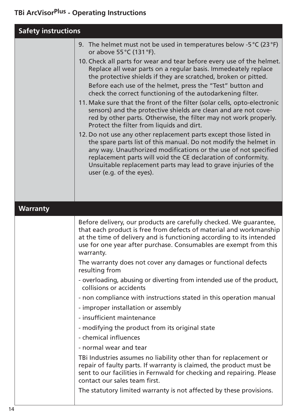| <b>Safety instructions</b> |                                                                                                                                                                                                                                                                                                                                                                         |
|----------------------------|-------------------------------------------------------------------------------------------------------------------------------------------------------------------------------------------------------------------------------------------------------------------------------------------------------------------------------------------------------------------------|
|                            | 9. The helmet must not be used in temperatures below -5 °C (23 °F)<br>or above 55 °C (131 °F).                                                                                                                                                                                                                                                                          |
|                            | 10. Check all parts for wear and tear before every use of the helmet.<br>Replace all wear parts on a regular basis. Immedeately replace<br>the protective shields if they are scratched, broken or pitted.<br>Before each use of the helmet, press the "Test" button and<br>check the correct functioning of the autodarkening filter.                                  |
|                            | 11. Make sure that the front of the filter (solar cells, opto-electronic<br>sensors) and the protective shields are clean and are not cove-<br>red by other parts. Otherwise, the filter may not work properly.<br>Protect the filter from liquids and dirt.                                                                                                            |
|                            | 12. Do not use any other replacement parts except those listed in<br>the spare parts list of this manual. Do not modify the helmet in<br>any way. Unauthorized modifications or the use of not specified<br>replacement parts will void the CE declaration of conformity.<br>Unsuitable replacement parts may lead to grave injuries of the<br>user (e.g. of the eyes). |
|                            |                                                                                                                                                                                                                                                                                                                                                                         |
| <b>Warranty</b>            |                                                                                                                                                                                                                                                                                                                                                                         |
|                            |                                                                                                                                                                                                                                                                                                                                                                         |
|                            | Before delivery, our products are carefully checked. We guarantee,<br>that each product is free from defects of material and workmanship<br>at the time of delivery and is functioning according to its intended<br>use for one year after purchase. Consumables are exempt from this<br>warranty.                                                                      |
|                            | The warranty does not cover any damages or functional defects<br>resulting from                                                                                                                                                                                                                                                                                         |
|                            | - overloading, abusing or diverting from intended use of the product,<br>collisions or accidents                                                                                                                                                                                                                                                                        |
|                            | - non compliance with instructions stated in this operation manual                                                                                                                                                                                                                                                                                                      |
|                            | - improper installation or assembly                                                                                                                                                                                                                                                                                                                                     |
|                            | - insufficient maintenance                                                                                                                                                                                                                                                                                                                                              |
|                            | - modifying the product from its original state                                                                                                                                                                                                                                                                                                                         |
|                            | - chemical influences                                                                                                                                                                                                                                                                                                                                                   |
|                            | - normal wear and tear                                                                                                                                                                                                                                                                                                                                                  |
|                            | TBi Industries assumes no liability other than for replacement or<br>repair of faulty parts. If warranty is claimed, the product must be<br>sent to our facilities in Fernwald for checking and repairing. Please<br>contact our sales team first.                                                                                                                      |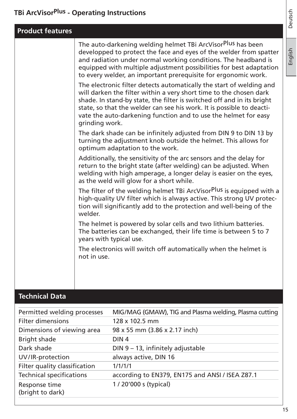| <b>Product features</b> |                                                                                                                                                                                                                                                                                                                                                                                    |
|-------------------------|------------------------------------------------------------------------------------------------------------------------------------------------------------------------------------------------------------------------------------------------------------------------------------------------------------------------------------------------------------------------------------|
|                         | The auto-darkening welding helmet TBi ArcVisorPlus has been<br>developped to protect the face and eyes of the welder from spatter<br>and radiation under normal working conditions. The headband is<br>equipped with multiple adjustment possibilities for best adaptation<br>to every welder, an important prerequisite for ergonomic work.                                       |
|                         | The electronic filter detects automatically the start of welding and<br>will darken the filter within a very short time to the chosen dark<br>shade. In stand-by state, the filter is switched off and in its bright<br>state, so that the welder can see his work. It is possible to deacti-<br>vate the auto-darkening function and to use the helmet for easy<br>grinding work. |
|                         | The dark shade can be infinitely adjusted from DIN 9 to DIN 13 by<br>turning the adjustment knob outside the helmet. This allows for<br>optimum adaptation to the work.                                                                                                                                                                                                            |
|                         | Additionally, the sensitivity of the arc sensors and the delay for<br>return to the bright state (after welding) can be adjusted. When<br>welding with high amperage, a longer delay is easier on the eyes,<br>as the weld will glow for a short while.                                                                                                                            |
|                         | The filter of the welding helmet TBi ArcVisorPlus is equipped with a<br>high-quality UV filter which is always active. This strong UV protec-<br>tion will significantly add to the protection and well-being of the<br>welder.                                                                                                                                                    |
|                         | The helmet is powered by solar cells and two lithium batteries.<br>The batteries can be exchanged, their life time is between 5 to 7<br>years with typical use.                                                                                                                                                                                                                    |
|                         | The electronics will switch off automatically when the helmet is<br>not in use.                                                                                                                                                                                                                                                                                                    |
|                         |                                                                                                                                                                                                                                                                                                                                                                                    |

#### **Technical Data**

| Permitted welding processes       | MIG/MAG (GMAW), TIG and Plasma welding, Plasma cutting |
|-----------------------------------|--------------------------------------------------------|
| <b>Filter dimensions</b>          | 128 x 102.5 mm                                         |
| Dimensions of viewing area        | 98 x 55 mm (3.86 x 2.17 inch)                          |
| <b>Bright shade</b>               | DIN <sub>4</sub>                                       |
| Dark shade                        | DIN 9 - 13, infinitely adjustable                      |
| UV/IR-protection                  | always active, DIN 16                                  |
| Filter quality classification     | 1/1/1/1                                                |
| <b>Technical specifications</b>   | according to EN379, EN175 and ANSI / ISEA Z87.1        |
| Response time<br>(bright to dark) | 1 / 20'000 s (typical)                                 |
|                                   |                                                        |

Deutsch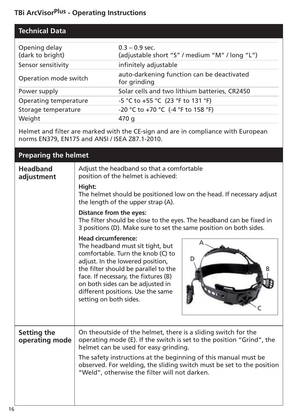| <b>Technical Data</b>             |                                                                    |
|-----------------------------------|--------------------------------------------------------------------|
| Opening delay<br>(dark to bright) | $0.3 - 0.9$ sec.<br>(adjustable short "S" / medium "M" / long "L") |
| Sensor sensitivity                | infinitely adjustable                                              |
| Operation mode switch             | auto-darkening function can be deactivated<br>for grinding         |
| Power supply                      | Solar cells and two lithium batteries, CR2450                      |
| Operating temperature             | -5 °C to +55 °C (23 °F to 131 °F)                                  |
| Storage temperature               | -20 °C to +70 °C (-4 °F to 158 °F)                                 |
| Weight                            | 470 g                                                              |

Helmet and filter are marked with the CE-sign and are in compliance with European norms EN379, EN175 and ANSI / ISEA Z87.1-2010.

| <b>Preparing the helmet</b>          |                                                                                                                                                                                                                                                                                                                                                                                                       |  |  |  |
|--------------------------------------|-------------------------------------------------------------------------------------------------------------------------------------------------------------------------------------------------------------------------------------------------------------------------------------------------------------------------------------------------------------------------------------------------------|--|--|--|
| <b>Headband</b><br>adjustment        | Adjust the headband so that a comfortable<br>position of the helmet is achieved:<br>Hight:<br>The helmet should be positioned low on the head. If necessary adjust<br>the length of the upper strap (A).<br>Distance from the eyes:<br>The filter should be close to the eyes. The headband can be fixed in                                                                                           |  |  |  |
|                                      | 3 positions (D). Make sure to set the same position on both sides.<br><b>Head circumference:</b><br>The headband must sit tight, but<br>comfortable. Turn the knob (C) to<br>D<br>adjust. In the lowered position,<br>the filter should be parallel to the<br>face. If necessary, the fixtures (B)<br>on both sides can be adjusted in<br>different positions. Use the same<br>setting on both sides. |  |  |  |
| <b>Setting the</b><br>operating mode | On theoutside of the helmet, there is a sliding switch for the<br>operating mode (E). If the switch is set to the position "Grind", the<br>helmet can be used for easy grinding.<br>The safety instructions at the beginning of this manual must be<br>observed. For welding, the sliding switch must be set to the position<br>"Weld", otherwise the filter will not darken.                         |  |  |  |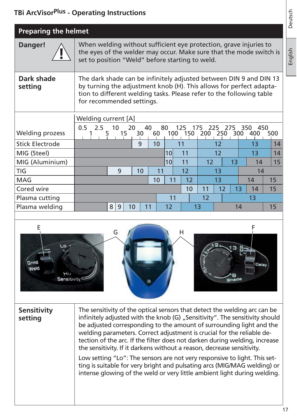| <b>Preparing the helmet</b>  |                                                                                                                                                                                                                                                |        |    |    |                 |    |                |    |    |    |    |
|------------------------------|------------------------------------------------------------------------------------------------------------------------------------------------------------------------------------------------------------------------------------------------|--------|----|----|-----------------|----|----------------|----|----|----|----|
| Danger!                      | When welding without sufficient eye protection, grave injuries to<br>the eyes of the welder may occur. Make sure that the mode switch is<br>set to position "Weld" before starting to weld.                                                    |        |    |    |                 |    |                |    |    |    |    |
| <b>Dark shade</b><br>setting | The dark shade can be infinitely adjusted between DIN 9 and DIN 13<br>by turning the adjustment knob (H). This allows for perfect adapta-<br>tion to different welding tasks. Please refer to the following table<br>for recommended settings. |        |    |    |                 |    |                |    |    |    |    |
|                              | <b>Welding current [A]</b>                                                                                                                                                                                                                     |        |    |    |                 |    |                |    |    |    |    |
| <b>Welding prozess</b>       | 20<br>40<br>80<br>0.5<br>2.5<br>10<br>125<br>175<br>225<br>275<br>350<br>450<br>300<br>100<br>150<br>250<br>15<br>200<br>500<br>5<br>30<br>60<br>400                                                                                           |        |    |    |                 |    |                |    |    |    |    |
| <b>Stick Electrode</b>       |                                                                                                                                                                                                                                                |        | 9  | 10 |                 | 11 |                | 12 |    | 13 | 14 |
| MIG (Steel)                  |                                                                                                                                                                                                                                                |        |    |    | 10 <sup>l</sup> | 11 |                | 12 |    | 13 | 14 |
| MIG (Aluminium)              | 10 <sup>l</sup><br>11<br>12<br>13<br>14                                                                                                                                                                                                        |        |    |    |                 | 15 |                |    |    |    |    |
| <b>TIG</b>                   | 9<br>11<br>12<br>13<br>14<br>10                                                                                                                                                                                                                |        |    |    |                 |    |                |    |    |    |    |
| <b>MAG</b>                   | 12<br>10<br>13<br>14<br>15<br>11                                                                                                                                                                                                               |        |    |    |                 |    |                |    |    |    |    |
| Cored wire                   | 13<br>11<br>12<br>15<br>10<br>14                                                                                                                                                                                                               |        |    |    |                 |    |                |    |    |    |    |
| Plasma cutting               | 12<br>13<br>11                                                                                                                                                                                                                                 |        |    |    |                 |    |                |    |    |    |    |
| Plasma welding               |                                                                                                                                                                                                                                                | 8<br>9 | 10 | 11 | 12              |    | 1 <sub>3</sub> |    | 14 |    | 15 |





G



**Sensitivity setting**

The sensitivity of the optical sensors that detect the welding arc can be infinitely adjusted with the knob (G) "Sensitivity". The sensitivity should be adjusted corresponding to the amount of surrounding light and the welding parameters. Correct adjustment is crucial for the reliable detection of the arc. If the filter does not darken during welding, increase the sensitivity. If it darkens without a reason, decrease sensitivity.

Low setting "Lo": The sensors are not very responsive to light. This setting is suitable for very bright and pulsating arcs (MIG/MAG welding) or intense glowing of the weld or very little ambient light during welding.

17

English Deutsch

English

Deutsch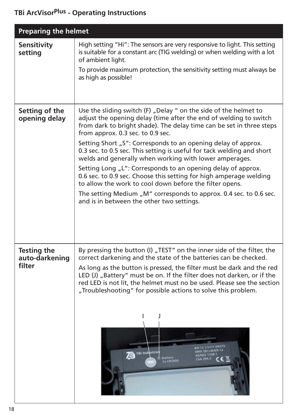| <b>Preparing the helmet</b>                    |                                                                                                                                                                                                                                                                                                                                                                                                                                                                                                                                                                                                                                                                                                                                                                             |
|------------------------------------------------|-----------------------------------------------------------------------------------------------------------------------------------------------------------------------------------------------------------------------------------------------------------------------------------------------------------------------------------------------------------------------------------------------------------------------------------------------------------------------------------------------------------------------------------------------------------------------------------------------------------------------------------------------------------------------------------------------------------------------------------------------------------------------------|
| <b>Sensitivity</b><br>setting                  | High setting "Hi": The sensors are very responsive to light. This setting<br>is suitable for a constant arc (TIG welding) or when welding with a lot<br>of ambient light.<br>To provide maximum protection, the sensitivity setting must always be<br>as high as possible!                                                                                                                                                                                                                                                                                                                                                                                                                                                                                                  |
| Setting of the<br>opening delay                | Use the sliding switch (F), Delay " on the side of the helmet to<br>adjust the opening delay (time after the end of welding to switch<br>from dark to bright shade). The delay time can be set in three steps<br>from approx. 0.3 sec. to 0.9 sec.<br>Setting Short "S": Corresponds to an opening delay of approx.<br>0.3 sec. to 0.5 sec. This setting is useful for tack welding and short<br>welds and generally when working with lower amperages.<br>Setting Long "L": Corresponds to an opening delay of approx.<br>0.6 sec. to 0.9 sec. Choose this setting for high amperage welding<br>to allow the work to cool down before the filter opens.<br>The setting Medium "M" corresponds to approx. 0.4 sec. to 0.6 sec.<br>and is in between the other two settings. |
| <b>Testing the</b><br>auto-darkening<br>filter | By pressing the button (I) "TEST" on the inner side of the filter, the<br>correct darkening and the state of the batteries can be checked.<br>As long as the button is pressed, the filter must be dark and the red<br>LED (J) "Battery" must be on. If the filter does not darken, or if the<br>red LED is not lit, the helmet must no be used. Please see the section<br>"Troubleshooting" for possible actions to solve this problem.<br><b>TBi Industrie</b><br><b>AS/NZS 1338</b><br>uttery<br><b>CSA 294.3</b><br><b>x CR2450</b>                                                                                                                                                                                                                                     |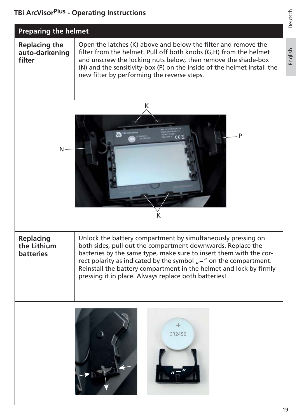| <b>Preparing the helmet</b>                         |                                                                                                                                                                                                                                                                                                                                                                                                     |  |
|-----------------------------------------------------|-----------------------------------------------------------------------------------------------------------------------------------------------------------------------------------------------------------------------------------------------------------------------------------------------------------------------------------------------------------------------------------------------------|--|
| <b>Replacing the</b><br>auto-darkening<br>filter    | Open the latches (K) above and below the filter and remove the<br>filter from the helmet. Pull off both knobs (G,H) from the helmet<br>and unscrew the locking nuts below, then remove the shade-box<br>(N) and the sensitivity-box (P) on the inside of the helmet Install the<br>new filter by performing the reverse steps.                                                                      |  |
| N                                                   | K<br>P                                                                                                                                                                                                                                                                                                                                                                                              |  |
| <b>Replacing</b><br>the Lithium<br><b>batteries</b> | Unlock the battery compartment by simultaneously pressing on<br>both sides, pull out the compartment downwards. Replace the<br>batteries by the same type, make sure to insert them with the cor-<br>rect polarity as indicated by the symbol "-" on the compartment.<br>Reinstall the battery compartment in the helmet and lock by firmly<br>pressing it in place. Always replace both batteries! |  |
|                                                     | <b>CR2450</b>                                                                                                                                                                                                                                                                                                                                                                                       |  |

Deutsch English Deutsch

English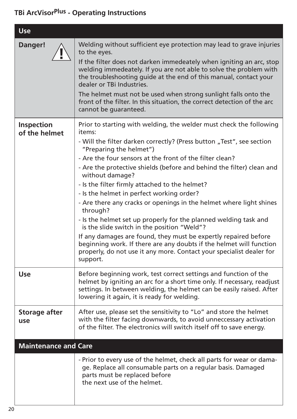| <b>Use</b>                         |                                                                                                                                                                                                                                                                                                                                                                                                                                                                                                                                                                                                                                                                                                                                                                                                                                                                              |
|------------------------------------|------------------------------------------------------------------------------------------------------------------------------------------------------------------------------------------------------------------------------------------------------------------------------------------------------------------------------------------------------------------------------------------------------------------------------------------------------------------------------------------------------------------------------------------------------------------------------------------------------------------------------------------------------------------------------------------------------------------------------------------------------------------------------------------------------------------------------------------------------------------------------|
| <b>Danger!</b>                     | Welding without sufficient eye protection may lead to grave injuries<br>to the eyes.<br>If the filter does not darken immedeately when igniting an arc, stop<br>welding immedeately. If you are not able to solve the problem with<br>the troubleshooting guide at the end of this manual, contact your<br>dealer or TBi Industries.<br>The helmet must not be used when strong sunlight falls onto the<br>front of the filter. In this situation, the correct detection of the arc<br>cannot be guaranteed.                                                                                                                                                                                                                                                                                                                                                                 |
| <b>Inspection</b><br>of the helmet | Prior to starting with welding, the welder must check the following<br>items:<br>- Will the filter darken correctly? (Press button "Test", see section<br>"Preparing the helmet")<br>- Are the four sensors at the front of the filter clean?<br>- Are the protective shields (before and behind the filter) clean and<br>without damage?<br>- Is the filter firmly attached to the helmet?<br>- Is the helmet in perfect working order?<br>- Are there any cracks or openings in the helmet where light shines<br>through?<br>- Is the helmet set up properly for the planned welding task and<br>is the slide switch in the position "Weld"?<br>If any damages are found, they must be expertly repaired before<br>beginning work. If there are any doubts if the helmet will function<br>properly, do not use it any more. Contact your specialist dealer for<br>support. |
| <b>Use</b>                         | Before beginning work, test correct settings and function of the<br>helmet by igniting an arc for a short time only. If necessary, readjust<br>settings. In between welding, the helmet can be easily raised. After<br>lowering it again, it is ready for welding.                                                                                                                                                                                                                                                                                                                                                                                                                                                                                                                                                                                                           |
| <b>Storage after</b><br>use        | After use, please set the sensitivity to "Lo" and store the helmet<br>with the filter facing downwards, to avoid unneccessary activation<br>of the filter. The electronics will switch itself off to save energy.                                                                                                                                                                                                                                                                                                                                                                                                                                                                                                                                                                                                                                                            |
| <b>Maintenance and Care</b>        |                                                                                                                                                                                                                                                                                                                                                                                                                                                                                                                                                                                                                                                                                                                                                                                                                                                                              |
|                                    | - Prior to every use of the helmet, check all parts for wear or dama-<br>ge. Replace all consumable parts on a regular basis. Damaged<br>parts must be replaced before<br>the next use of the helmet.                                                                                                                                                                                                                                                                                                                                                                                                                                                                                                                                                                                                                                                                        |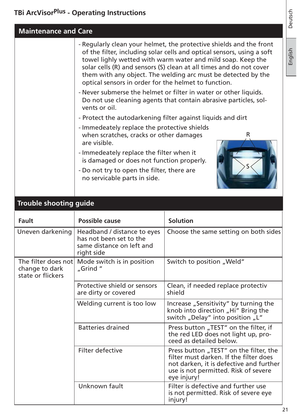English

#### **TBi ArcVisorPlus - Operating Instructions**

| <b>Maintenance and Care</b> |                                                                                                                                                                                                                                                                                                                                                                                                              |  |  |  |  |  |
|-----------------------------|--------------------------------------------------------------------------------------------------------------------------------------------------------------------------------------------------------------------------------------------------------------------------------------------------------------------------------------------------------------------------------------------------------------|--|--|--|--|--|
|                             | - Regularly clean your helmet, the protective shields and the front<br>of the filter, including solar cells and optical sensors, using a soft<br>towel lighly wetted with warm water and mild soap. Keep the<br>solar cells (R) and sensors (S) clean at all times and do not cover<br>them with any object. The welding arc must be detected by the<br>optical sensors in order for the helmet to function. |  |  |  |  |  |
|                             | - Never submerse the helmet or filter in water or other liquids.<br>Do not use cleaning agents that contain abrasive particles, sol-<br>vents or oil.                                                                                                                                                                                                                                                        |  |  |  |  |  |
|                             | - Protect the autodarkening filter against liquids and dirt                                                                                                                                                                                                                                                                                                                                                  |  |  |  |  |  |
|                             | - Immedeately replace the protective shields<br>when scratches, cracks or other damages<br>R.<br>are visible.                                                                                                                                                                                                                                                                                                |  |  |  |  |  |
|                             | - Immedeately replace the filter when it<br>is damaged or does not function properly.                                                                                                                                                                                                                                                                                                                        |  |  |  |  |  |
|                             | - Do not try to open the filter, there are<br>no servicable parts in side.                                                                                                                                                                                                                                                                                                                                   |  |  |  |  |  |

# **Trouble shooting guide**

| Fault                                                      | <b>Possible cause</b>                                                                             | <b>Solution</b>                                                                                                                                                                    |
|------------------------------------------------------------|---------------------------------------------------------------------------------------------------|------------------------------------------------------------------------------------------------------------------------------------------------------------------------------------|
| Uneven darkening                                           | Headband / distance to eyes<br>has not been set to the<br>same distance on left and<br>right side | Choose the same setting on both sides                                                                                                                                              |
| The filter does not<br>change to dark<br>state or flickers | Mode switch is in position<br>"Grind"                                                             | Switch to position "Weld"                                                                                                                                                          |
|                                                            | Protective shield or sensors<br>are dirty or covered                                              | Clean, if needed replace protectiv<br>shield                                                                                                                                       |
|                                                            | Welding current is too low                                                                        | Increase "Sensitivity" by turning the<br>knob into direction "Hi" Bring the<br>switch "Delay" into position "L"                                                                    |
|                                                            | <b>Batteries drained</b>                                                                          | Press button "TEST" on the filter, if<br>the red LED does not light up, pro-<br>ceed as detailed below.                                                                            |
|                                                            | Filter defective                                                                                  | Press button "TEST" on the filter, the<br>filter must darken. If the filter does<br>not darken, it is defective and further<br>use is not permitted. Risk of severe<br>eye injury! |
|                                                            | Unknown fault                                                                                     | Filter is defective and further use<br>is not permitted. Risk of severe eye<br>injury!                                                                                             |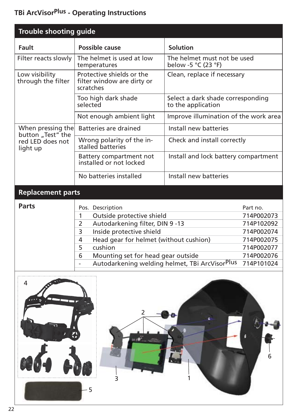| <b>Trouble shooting guide</b>                     |                                                                                                                            |                                                              |  |
|---------------------------------------------------|----------------------------------------------------------------------------------------------------------------------------|--------------------------------------------------------------|--|
| <b>Fault</b>                                      | <b>Possible cause</b>                                                                                                      | <b>Solution</b>                                              |  |
| Filter reacts slowly                              | The helmet is used at low<br>temperatures                                                                                  | The helmet must not be used<br>below -5 °C (23 °F)           |  |
| Low visibility<br>through the filter              | Protective shields or the<br>filter window are dirty or<br>scratches                                                       | Clean, replace if necessary                                  |  |
|                                                   | Too high dark shade<br>selected                                                                                            | Select a dark shade corresponding<br>to the application      |  |
|                                                   | Not enough ambient light                                                                                                   | Improve illumination of the work area                        |  |
| When pressing the                                 | Batteries are drained                                                                                                      | Install new batteries                                        |  |
| button "Test" the<br>red LED does not<br>light up | Wrong polarity of the in-<br>stalled batteries                                                                             | Check and install correctly                                  |  |
|                                                   | <b>Battery compartment not</b><br>installed or not locked                                                                  | Install and lock battery compartment                         |  |
|                                                   | No batteries installed                                                                                                     | Install new batteries                                        |  |
| <b>Replacement parts</b>                          |                                                                                                                            |                                                              |  |
| <b>Parts</b>                                      | Pos. Description<br>Outside protective shield<br>1<br>2<br>Autodarkening filter, DIN 9-13<br>3<br>Inside protective shield | Part no.<br>714P002073<br>714P102092<br>714P002074           |  |
|                                                   | Head gear for helmet (without cushion)<br>4<br>cushion<br>5                                                                | 714P002075<br>714P002077                                     |  |
|                                                   | 6<br>Mounting set for head gear outside                                                                                    | 714P002076                                                   |  |
|                                                   |                                                                                                                            | Autodarkening welding helmet, TBi ArcVisorPlus<br>714P101024 |  |

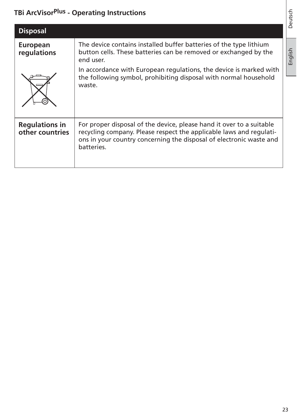Deutsch English Deutsch

English

| <b>Disposal</b>                          |                                                                                                                                                                                                                                  |
|------------------------------------------|----------------------------------------------------------------------------------------------------------------------------------------------------------------------------------------------------------------------------------|
| <b>European</b><br>regulations           | The device contains installed buffer batteries of the type lithium<br>button cells. These batteries can be removed or exchanged by the<br>end user.                                                                              |
|                                          | In accordance with European regulations, the device is marked with<br>the following symbol, prohibiting disposal with normal household<br>waste.                                                                                 |
| <b>Regulations in</b><br>other countries | For proper disposal of the device, please hand it over to a suitable<br>recycling company. Please respect the applicable laws and regulati-<br>ons in your country concerning the disposal of electronic waste and<br>batteries. |